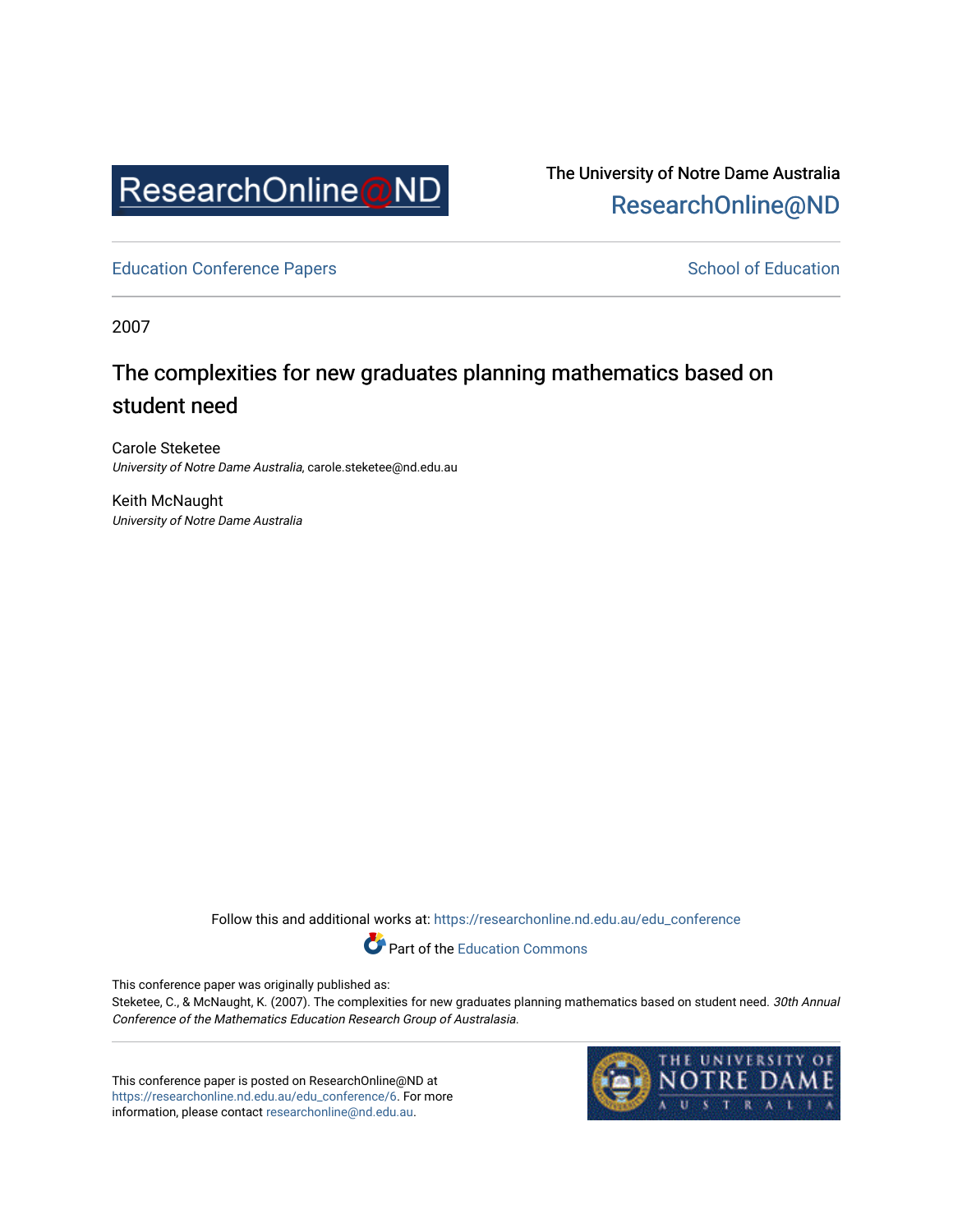

The University of Notre Dame Australia [ResearchOnline@ND](https://researchonline.nd.edu.au/) 

[Education Conference Papers](https://researchonline.nd.edu.au/edu_conference) **School of Education** School of Education

2007

# The complexities for new graduates planning mathematics based on student need

Carole Steketee University of Notre Dame Australia, carole.steketee@nd.edu.au

Keith McNaught University of Notre Dame Australia

Follow this and additional works at: [https://researchonline.nd.edu.au/edu\\_conference](https://researchonline.nd.edu.au/edu_conference?utm_source=researchonline.nd.edu.au%2Fedu_conference%2F6&utm_medium=PDF&utm_campaign=PDFCoverPages)

Part of the [Education Commons](http://network.bepress.com/hgg/discipline/784?utm_source=researchonline.nd.edu.au%2Fedu_conference%2F6&utm_medium=PDF&utm_campaign=PDFCoverPages) 

This conference paper was originally published as:

Steketee, C., & McNaught, K. (2007). The complexities for new graduates planning mathematics based on student need. 30th Annual Conference of the Mathematics Education Research Group of Australasia.

This conference paper is posted on ResearchOnline@ND at [https://researchonline.nd.edu.au/edu\\_conference/6](https://researchonline.nd.edu.au/edu_conference/6). For more information, please contact [researchonline@nd.edu.au.](mailto:researchonline@nd.edu.au)

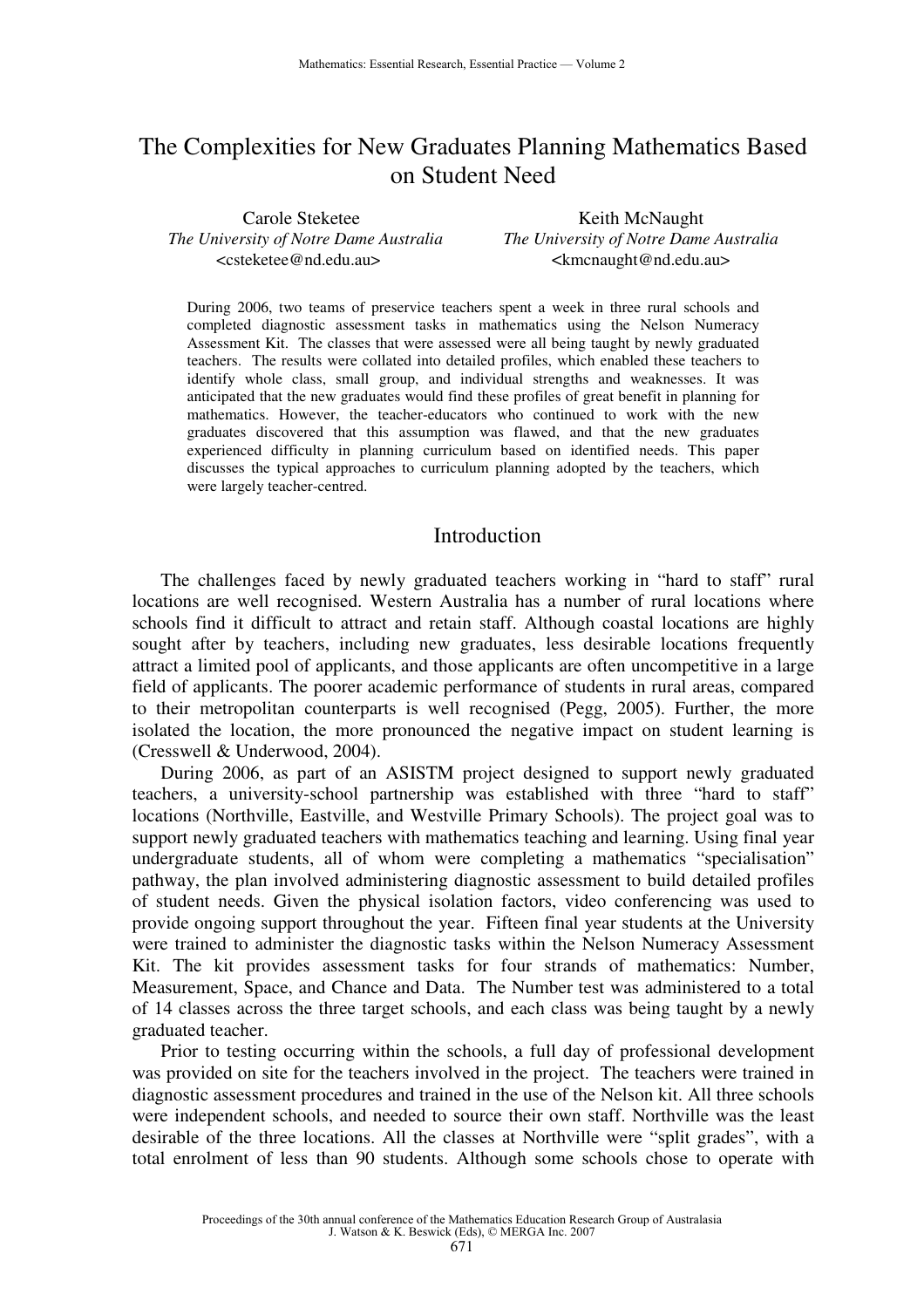## The Complexities for New Graduates Planning Mathematics Based on Student Need

Carole Steketee Keith McNaught *The University of Notre Dame Australia The University of Notre Dame Australia*  <csteketee@nd.edu.au> <kmcnaught@nd.edu.au>

During 2006, two teams of preservice teachers spent a week in three rural schools and completed diagnostic assessment tasks in mathematics using the Nelson Numeracy Assessment Kit. The classes that were assessed were all being taught by newly graduated teachers. The results were collated into detailed profiles, which enabled these teachers to identify whole class, small group, and individual strengths and weaknesses. It was anticipated that the new graduates would find these profiles of great benefit in planning for mathematics. However, the teacher-educators who continued to work with the new graduates discovered that this assumption was flawed, and that the new graduates experienced difficulty in planning curriculum based on identified needs. This paper discusses the typical approaches to curriculum planning adopted by the teachers, which were largely teacher-centred.

## Introduction

The challenges faced by newly graduated teachers working in "hard to staff" rural locations are well recognised. Western Australia has a number of rural locations where schools find it difficult to attract and retain staff. Although coastal locations are highly sought after by teachers, including new graduates, less desirable locations frequently attract a limited pool of applicants, and those applicants are often uncompetitive in a large field of applicants. The poorer academic performance of students in rural areas, compared to their metropolitan counterparts is well recognised (Pegg, 2005). Further, the more isolated the location, the more pronounced the negative impact on student learning is (Cresswell & Underwood, 2004).

During 2006, as part of an ASISTM project designed to support newly graduated teachers, a university-school partnership was established with three "hard to staff" locations (Northville, Eastville, and Westville Primary Schools). The project goal was to support newly graduated teachers with mathematics teaching and learning. Using final year undergraduate students, all of whom were completing a mathematics "specialisation" pathway, the plan involved administering diagnostic assessment to build detailed profiles of student needs. Given the physical isolation factors, video conferencing was used to provide ongoing support throughout the year. Fifteen final year students at the University were trained to administer the diagnostic tasks within the Nelson Numeracy Assessment Kit. The kit provides assessment tasks for four strands of mathematics: Number, Measurement, Space, and Chance and Data. The Number test was administered to a total of 14 classes across the three target schools, and each class was being taught by a newly graduated teacher.

Prior to testing occurring within the schools, a full day of professional development was provided on site for the teachers involved in the project. The teachers were trained in diagnostic assessment procedures and trained in the use of the Nelson kit. All three schools were independent schools, and needed to source their own staff. Northville was the least desirable of the three locations. All the classes at Northville were "split grades", with a total enrolment of less than 90 students. Although some schools chose to operate with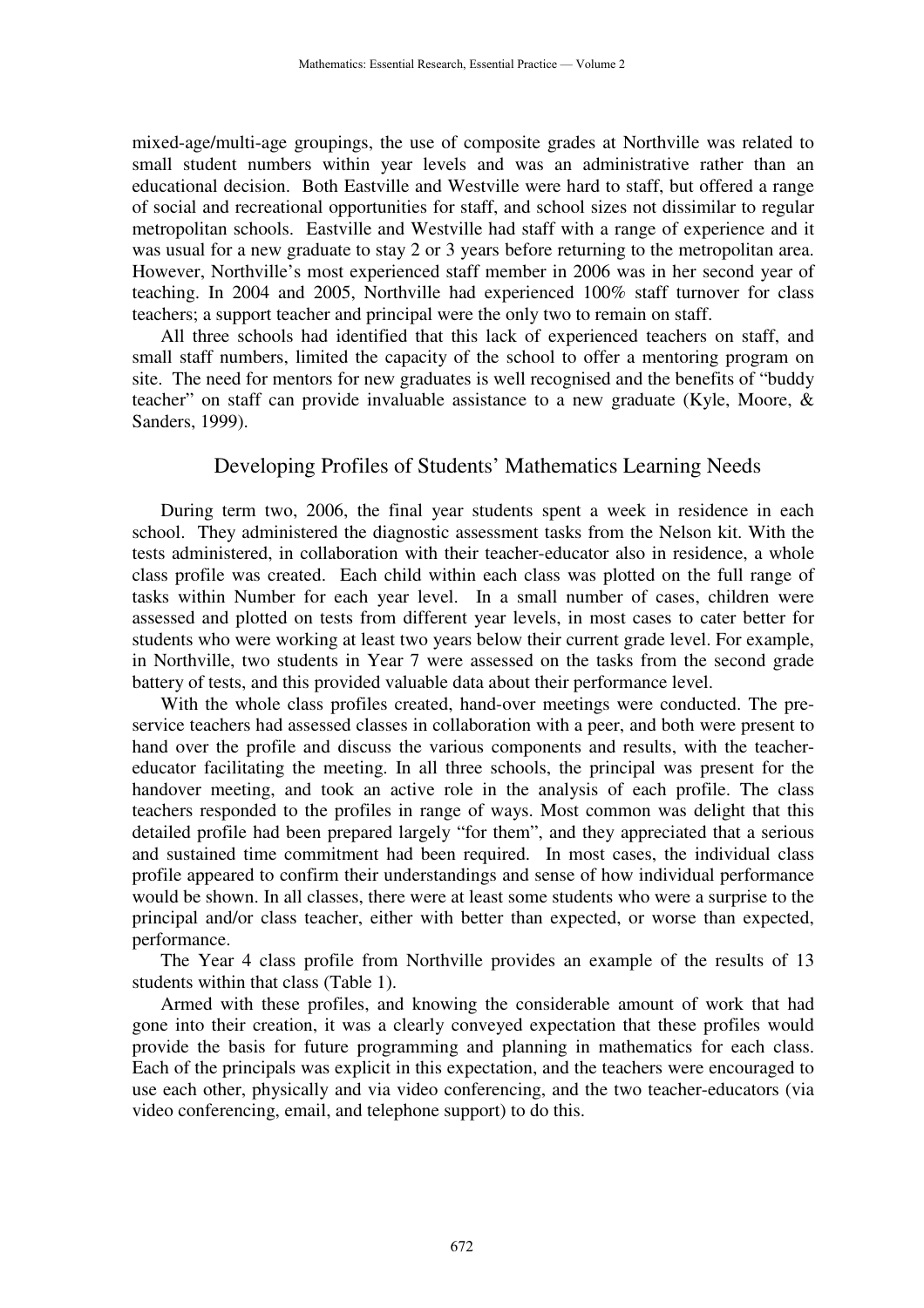mixed-age/multi-age groupings, the use of composite grades at Northville was related to small student numbers within year levels and was an administrative rather than an educational decision. Both Eastville and Westville were hard to staff, but offered a range of social and recreational opportunities for staff, and school sizes not dissimilar to regular metropolitan schools. Eastville and Westville had staff with a range of experience and it was usual for a new graduate to stay 2 or 3 years before returning to the metropolitan area. However, Northville's most experienced staff member in 2006 was in her second year of teaching. In 2004 and 2005, Northville had experienced 100% staff turnover for class teachers; a support teacher and principal were the only two to remain on staff.

All three schools had identified that this lack of experienced teachers on staff, and small staff numbers, limited the capacity of the school to offer a mentoring program on site. The need for mentors for new graduates is well recognised and the benefits of "buddy teacher" on staff can provide invaluable assistance to a new graduate (Kyle, Moore, & Sanders, 1999).

### Developing Profiles of Students' Mathematics Learning Needs

During term two, 2006, the final year students spent a week in residence in each school. They administered the diagnostic assessment tasks from the Nelson kit. With the tests administered, in collaboration with their teacher-educator also in residence, a whole class profile was created. Each child within each class was plotted on the full range of tasks within Number for each year level. In a small number of cases, children were assessed and plotted on tests from different year levels, in most cases to cater better for students who were working at least two years below their current grade level. For example, in Northville, two students in Year 7 were assessed on the tasks from the second grade battery of tests, and this provided valuable data about their performance level.

With the whole class profiles created, hand-over meetings were conducted. The preservice teachers had assessed classes in collaboration with a peer, and both were present to hand over the profile and discuss the various components and results, with the teachereducator facilitating the meeting. In all three schools, the principal was present for the handover meeting, and took an active role in the analysis of each profile. The class teachers responded to the profiles in range of ways. Most common was delight that this detailed profile had been prepared largely "for them", and they appreciated that a serious and sustained time commitment had been required. In most cases, the individual class profile appeared to confirm their understandings and sense of how individual performance would be shown. In all classes, there were at least some students who were a surprise to the principal and/or class teacher, either with better than expected, or worse than expected, performance.

The Year 4 class profile from Northville provides an example of the results of 13 students within that class (Table 1).

Armed with these profiles, and knowing the considerable amount of work that had gone into their creation, it was a clearly conveyed expectation that these profiles would provide the basis for future programming and planning in mathematics for each class. Each of the principals was explicit in this expectation, and the teachers were encouraged to use each other, physically and via video conferencing, and the two teacher-educators (via video conferencing, email, and telephone support) to do this.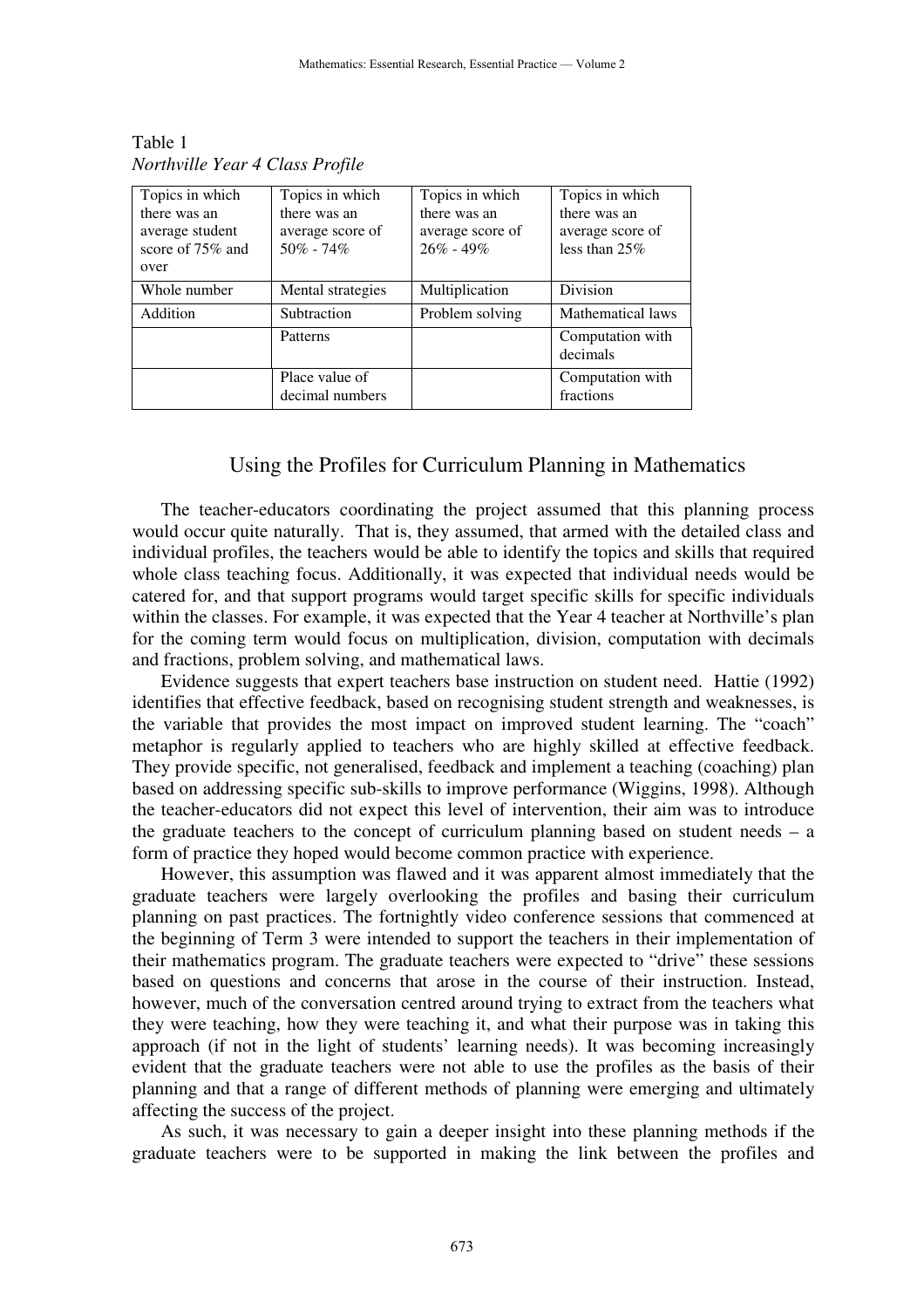| Topics in which                                                | Topics in which                                   | Topics in which                                   | Topics in which                                     |
|----------------------------------------------------------------|---------------------------------------------------|---------------------------------------------------|-----------------------------------------------------|
| there was an<br>average student<br>score of $75\%$ and<br>over | there was an<br>average score of<br>$50\% - 74\%$ | there was an<br>average score of<br>$26\% - 49\%$ | there was an<br>average score of<br>less than $25%$ |
| Whole number                                                   | Mental strategies                                 | Multiplication                                    | Division                                            |
| Addition                                                       | Subtraction                                       | Problem solving                                   | Mathematical laws                                   |
|                                                                | Patterns                                          |                                                   | Computation with<br>decimals                        |
|                                                                | Place value of<br>decimal numbers                 |                                                   | Computation with<br>fractions                       |

Table 1 *Northville Year 4 Class Profile* 

### Using the Profiles for Curriculum Planning in Mathematics

The teacher-educators coordinating the project assumed that this planning process would occur quite naturally. That is, they assumed, that armed with the detailed class and individual profiles, the teachers would be able to identify the topics and skills that required whole class teaching focus. Additionally, it was expected that individual needs would be catered for, and that support programs would target specific skills for specific individuals within the classes. For example, it was expected that the Year 4 teacher at Northville's plan for the coming term would focus on multiplication, division, computation with decimals and fractions, problem solving, and mathematical laws.

Evidence suggests that expert teachers base instruction on student need. Hattie (1992) identifies that effective feedback, based on recognising student strength and weaknesses, is the variable that provides the most impact on improved student learning. The "coach" metaphor is regularly applied to teachers who are highly skilled at effective feedback. They provide specific, not generalised, feedback and implement a teaching (coaching) plan based on addressing specific sub-skills to improve performance (Wiggins, 1998). Although the teacher-educators did not expect this level of intervention, their aim was to introduce the graduate teachers to the concept of curriculum planning based on student needs – a form of practice they hoped would become common practice with experience.

However, this assumption was flawed and it was apparent almost immediately that the graduate teachers were largely overlooking the profiles and basing their curriculum planning on past practices. The fortnightly video conference sessions that commenced at the beginning of Term 3 were intended to support the teachers in their implementation of their mathematics program. The graduate teachers were expected to "drive" these sessions based on questions and concerns that arose in the course of their instruction. Instead, however, much of the conversation centred around trying to extract from the teachers what they were teaching, how they were teaching it, and what their purpose was in taking this approach (if not in the light of students' learning needs). It was becoming increasingly evident that the graduate teachers were not able to use the profiles as the basis of their planning and that a range of different methods of planning were emerging and ultimately affecting the success of the project.

As such, it was necessary to gain a deeper insight into these planning methods if the graduate teachers were to be supported in making the link between the profiles and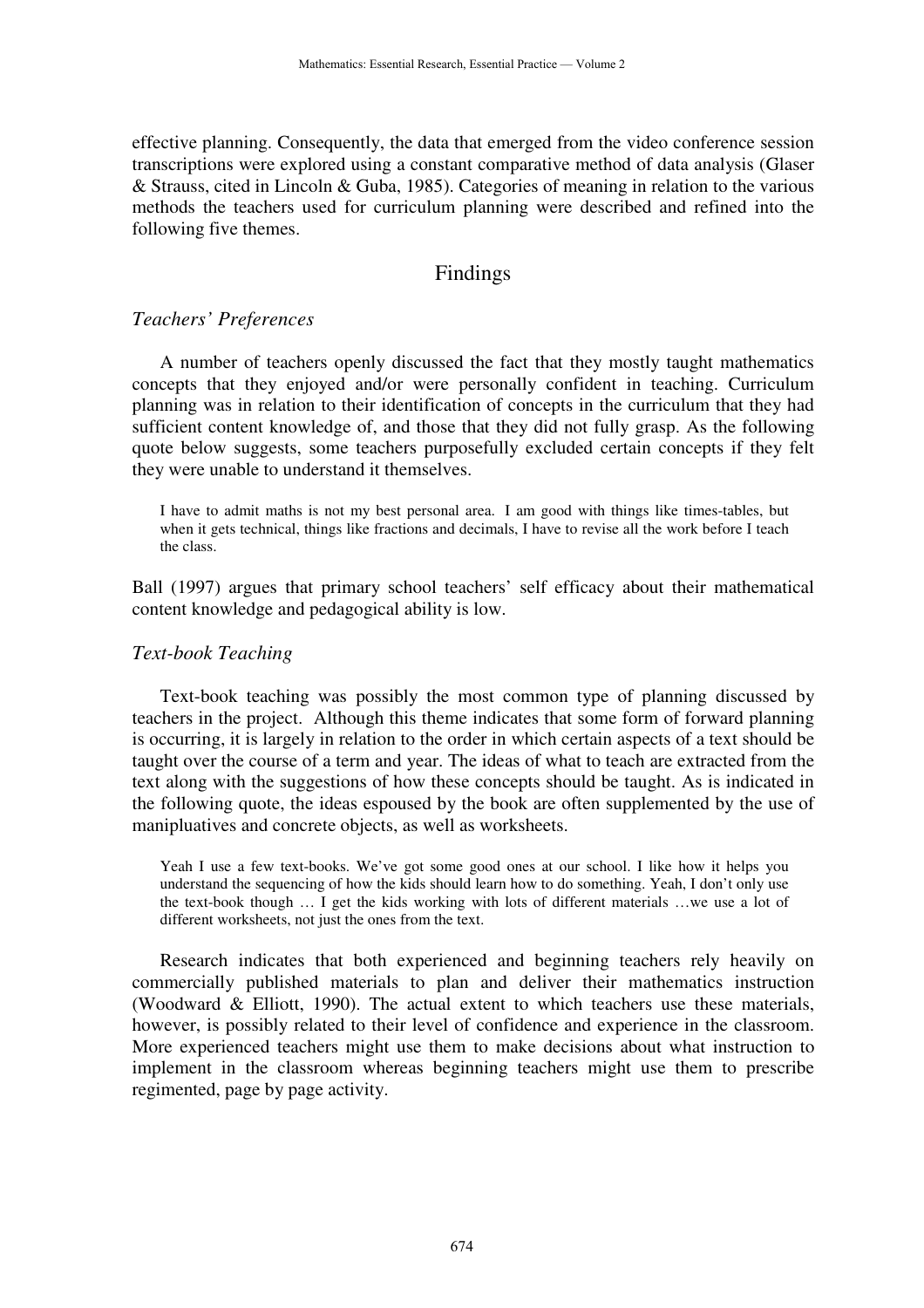effective planning. Consequently, the data that emerged from the video conference session transcriptions were explored using a constant comparative method of data analysis (Glaser & Strauss, cited in Lincoln & Guba, 1985). Categories of meaning in relation to the various methods the teachers used for curriculum planning were described and refined into the following five themes.

## Findings

## *Teachers' Preferences*

A number of teachers openly discussed the fact that they mostly taught mathematics concepts that they enjoyed and/or were personally confident in teaching. Curriculum planning was in relation to their identification of concepts in the curriculum that they had sufficient content knowledge of, and those that they did not fully grasp. As the following quote below suggests, some teachers purposefully excluded certain concepts if they felt they were unable to understand it themselves.

I have to admit maths is not my best personal area. I am good with things like times-tables, but when it gets technical, things like fractions and decimals, I have to revise all the work before I teach the class.

Ball (1997) argues that primary school teachers' self efficacy about their mathematical content knowledge and pedagogical ability is low.

#### *Text-book Teaching*

Text-book teaching was possibly the most common type of planning discussed by teachers in the project. Although this theme indicates that some form of forward planning is occurring, it is largely in relation to the order in which certain aspects of a text should be taught over the course of a term and year. The ideas of what to teach are extracted from the text along with the suggestions of how these concepts should be taught. As is indicated in the following quote, the ideas espoused by the book are often supplemented by the use of manipluatives and concrete objects, as well as worksheets.

Yeah I use a few text-books. We've got some good ones at our school. I like how it helps you understand the sequencing of how the kids should learn how to do something. Yeah, I don't only use the text-book though … I get the kids working with lots of different materials …we use a lot of different worksheets, not just the ones from the text.

Research indicates that both experienced and beginning teachers rely heavily on commercially published materials to plan and deliver their mathematics instruction (Woodward & Elliott, 1990). The actual extent to which teachers use these materials, however, is possibly related to their level of confidence and experience in the classroom. More experienced teachers might use them to make decisions about what instruction to implement in the classroom whereas beginning teachers might use them to prescribe regimented, page by page activity.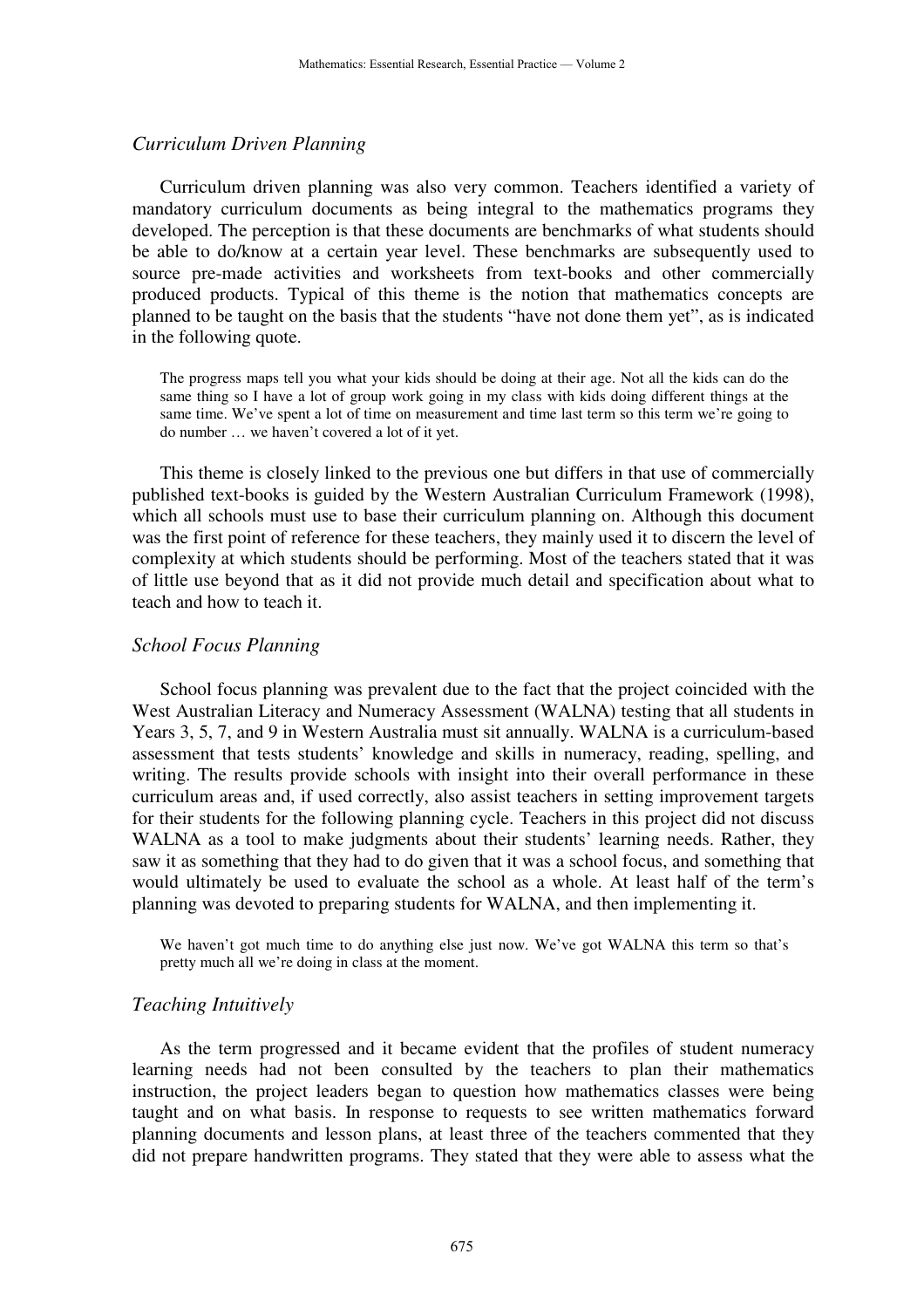#### *Curriculum Driven Planning*

Curriculum driven planning was also very common. Teachers identified a variety of mandatory curriculum documents as being integral to the mathematics programs they developed. The perception is that these documents are benchmarks of what students should be able to do/know at a certain year level. These benchmarks are subsequently used to source pre-made activities and worksheets from text-books and other commercially produced products. Typical of this theme is the notion that mathematics concepts are planned to be taught on the basis that the students "have not done them yet", as is indicated in the following quote.

The progress maps tell you what your kids should be doing at their age. Not all the kids can do the same thing so I have a lot of group work going in my class with kids doing different things at the same time. We've spent a lot of time on measurement and time last term so this term we're going to do number … we haven't covered a lot of it yet.

This theme is closely linked to the previous one but differs in that use of commercially published text-books is guided by the Western Australian Curriculum Framework (1998), which all schools must use to base their curriculum planning on. Although this document was the first point of reference for these teachers, they mainly used it to discern the level of complexity at which students should be performing. Most of the teachers stated that it was of little use beyond that as it did not provide much detail and specification about what to teach and how to teach it.

#### *School Focus Planning*

School focus planning was prevalent due to the fact that the project coincided with the West Australian Literacy and Numeracy Assessment (WALNA) testing that all students in Years 3, 5, 7, and 9 in Western Australia must sit annually. WALNA is a curriculum-based assessment that tests students' knowledge and skills in numeracy, reading, spelling, and writing. The results provide schools with insight into their overall performance in these curriculum areas and, if used correctly, also assist teachers in setting improvement targets for their students for the following planning cycle. Teachers in this project did not discuss WALNA as a tool to make judgments about their students' learning needs. Rather, they saw it as something that they had to do given that it was a school focus, and something that would ultimately be used to evaluate the school as a whole. At least half of the term's planning was devoted to preparing students for WALNA, and then implementing it.

We haven't got much time to do anything else just now. We've got WALNA this term so that's pretty much all we're doing in class at the moment.

#### *Teaching Intuitively*

As the term progressed and it became evident that the profiles of student numeracy learning needs had not been consulted by the teachers to plan their mathematics instruction, the project leaders began to question how mathematics classes were being taught and on what basis. In response to requests to see written mathematics forward planning documents and lesson plans, at least three of the teachers commented that they did not prepare handwritten programs. They stated that they were able to assess what the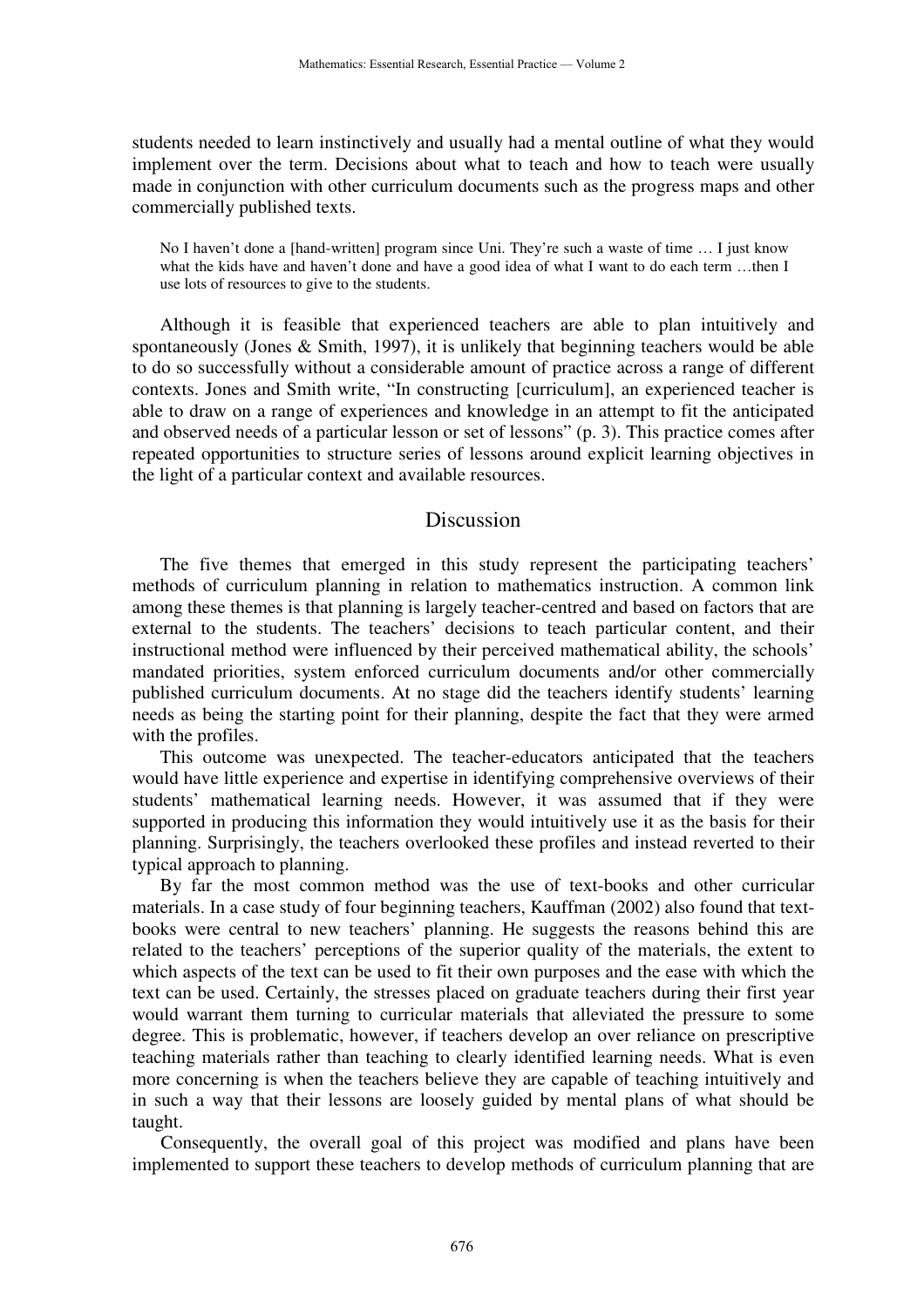students needed to learn instinctively and usually had a mental outline of what they would implement over the term. Decisions about what to teach and how to teach were usually made in conjunction with other curriculum documents such as the progress maps and other commercially published texts.

No I haven't done a [hand-written] program since Uni. They're such a waste of time … I just know what the kids have and haven't done and have a good idea of what I want to do each term ...then I use lots of resources to give to the students.

Although it is feasible that experienced teachers are able to plan intuitively and spontaneously (Jones & Smith, 1997), it is unlikely that beginning teachers would be able to do so successfully without a considerable amount of practice across a range of different contexts. Jones and Smith write, "In constructing [curriculum], an experienced teacher is able to draw on a range of experiences and knowledge in an attempt to fit the anticipated and observed needs of a particular lesson or set of lessons" (p. 3). This practice comes after repeated opportunities to structure series of lessons around explicit learning objectives in the light of a particular context and available resources.

#### Discussion

The five themes that emerged in this study represent the participating teachers' methods of curriculum planning in relation to mathematics instruction. A common link among these themes is that planning is largely teacher-centred and based on factors that are external to the students. The teachers' decisions to teach particular content, and their instructional method were influenced by their perceived mathematical ability, the schools' mandated priorities, system enforced curriculum documents and/or other commercially published curriculum documents. At no stage did the teachers identify students' learning needs as being the starting point for their planning, despite the fact that they were armed with the profiles.

This outcome was unexpected. The teacher-educators anticipated that the teachers would have little experience and expertise in identifying comprehensive overviews of their students' mathematical learning needs. However, it was assumed that if they were supported in producing this information they would intuitively use it as the basis for their planning. Surprisingly, the teachers overlooked these profiles and instead reverted to their typical approach to planning.

By far the most common method was the use of text-books and other curricular materials. In a case study of four beginning teachers, Kauffman (2002) also found that textbooks were central to new teachers' planning. He suggests the reasons behind this are related to the teachers' perceptions of the superior quality of the materials, the extent to which aspects of the text can be used to fit their own purposes and the ease with which the text can be used. Certainly, the stresses placed on graduate teachers during their first year would warrant them turning to curricular materials that alleviated the pressure to some degree. This is problematic, however, if teachers develop an over reliance on prescriptive teaching materials rather than teaching to clearly identified learning needs. What is even more concerning is when the teachers believe they are capable of teaching intuitively and in such a way that their lessons are loosely guided by mental plans of what should be taught.

Consequently, the overall goal of this project was modified and plans have been implemented to support these teachers to develop methods of curriculum planning that are